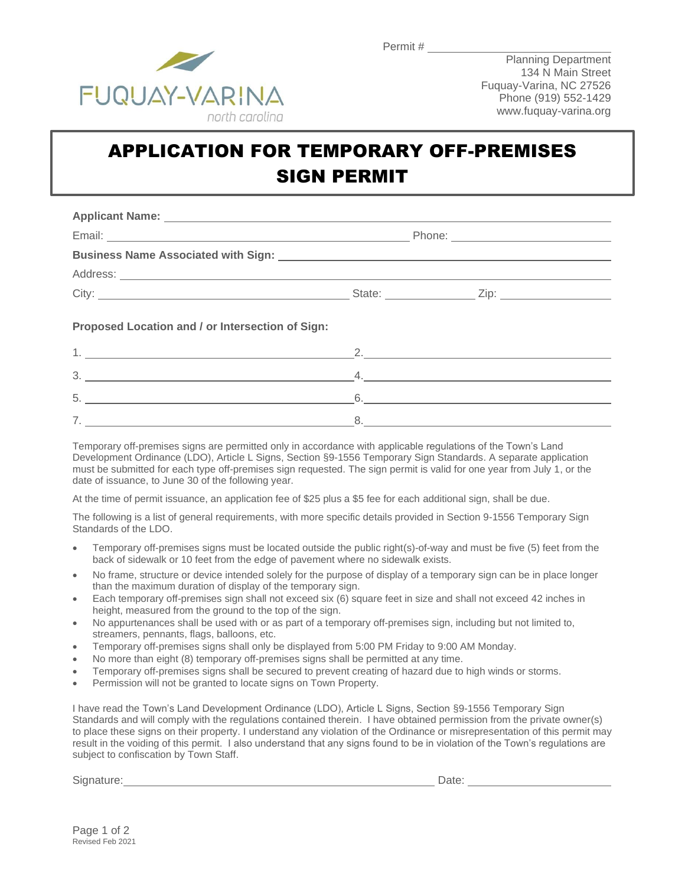

## APPLICATION FOR TEMPORARY OFF-PREMISES SIGN PERMIT

| City: City: City: City: City: City: City: City: City: City: City: City: City: City: City: City: City: City: City: City: City: City: City: City: City: City: City: City: City: City: City: City: City: City: City: City: City: |  |
|-------------------------------------------------------------------------------------------------------------------------------------------------------------------------------------------------------------------------------|--|
| Proposed Location and / or Intersection of Sign:                                                                                                                                                                              |  |

| ີ      |  |
|--------|--|
| ∽<br>ັ |  |
|        |  |

Temporary off-premises signs are permitted only in accordance with applicable regulations of the Town's Land Development Ordinance (LDO), Article L Signs, Section §9-1556 Temporary Sign Standards. A separate application must be submitted for each type off-premises sign requested. The sign permit is valid for one year from July 1, or the date of issuance, to June 30 of the following year.

At the time of permit issuance, an application fee of \$25 plus a \$5 fee for each additional sign, shall be due.

The following is a list of general requirements, with more specific details provided in Section 9-1556 Temporary Sign Standards of the LDO.

- Temporary off-premises signs must be located outside the public right(s)-of-way and must be five (5) feet from the back of sidewalk or 10 feet from the edge of pavement where no sidewalk exists.
- No frame, structure or device intended solely for the purpose of display of a temporary sign can be in place longer than the maximum duration of display of the temporary sign.
- Each temporary off-premises sign shall not exceed six (6) square feet in size and shall not exceed 42 inches in height, measured from the ground to the top of the sign.
- No appurtenances shall be used with or as part of a temporary off-premises sign, including but not limited to, streamers, pennants, flags, balloons, etc.
- Temporary off-premises signs shall only be displayed from 5:00 PM Friday to 9:00 AM Monday.
- No more than eight (8) temporary off-premises signs shall be permitted at any time.
- Temporary off-premises signs shall be secured to prevent creating of hazard due to high winds or storms.
- Permission will not be granted to locate signs on Town Property.

I have read the Town's Land Development Ordinance (LDO), Article L Signs, Section §9-1556 Temporary Sign Standards and will comply with the regulations contained therein. I have obtained permission from the private owner(s) to place these signs on their property. I understand any violation of the Ordinance or misrepresentation of this permit may result in the voiding of this permit. I also understand that any signs found to be in violation of the Town's regulations are subject to confiscation by Town Staff.

Signature: Date: